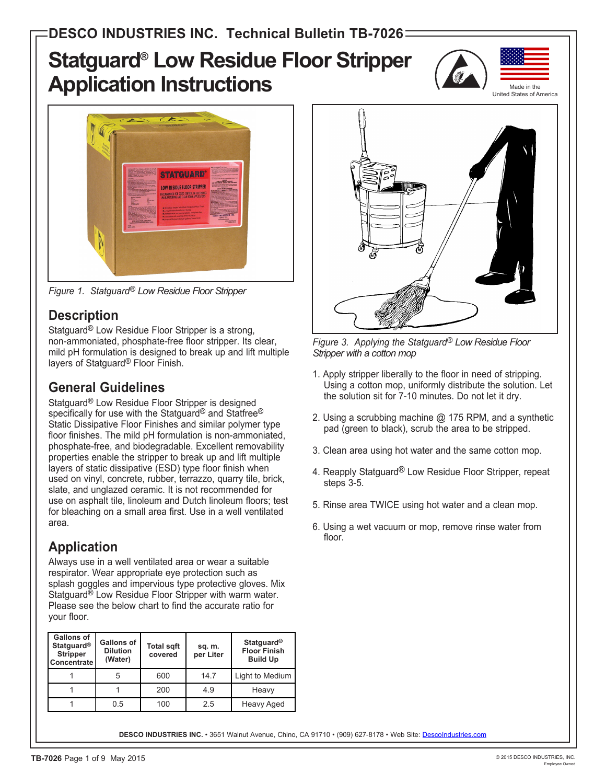# **Statguard® Low Residue Floor Stripper Application Instructions**





*Figure 1. Statguard® Low Residue Floor Stripper*

### **Description**

Statguard® Low Residue Floor Stripper is a strong, non-ammoniated, phosphate-free floor stripper. Its clear, mild pH formulation is designed to break up and lift multiple layers of Statguard® Floor Finish.

# **General Guidelines**

Statguard® Low Residue Floor Stripper is designed specifically for use with the Statguard® and Statfree® Static Dissipative Floor Finishes and similar polymer type floor finishes. The mild pH formulation is non-ammoniated, phosphate-free, and biodegradable. Excellent removability properties enable the stripper to break up and lift multiple layers of static dissipative (ESD) type floor finish when used on vinyl, concrete, rubber, terrazzo, quarry tile, brick, slate, and unglazed ceramic. It is not recommended for use on asphalt tile, linoleum and Dutch linoleum floors; test for bleaching on a small area first. Use in a well ventilated area.

# **Application**

Always use in a well ventilated area or wear a suitable respirator. Wear appropriate eye protection such as splash goggles and impervious type protective gloves. Mix Statquard<sup>®</sup> Low Residue Floor Stripper with warm water. Please see the below chart to find the accurate ratio for your floor.

| <b>Gallons of</b><br><b>Statguard®</b><br><b>Stripper</b><br>Concentrate | <b>Gallons of</b><br><b>Dilution</b><br>(Water) | <b>Total sgft</b><br>covered | sq. m.<br>per Liter | <b>Statguard®</b><br><b>Floor Finish</b><br><b>Build Up</b> |
|--------------------------------------------------------------------------|-------------------------------------------------|------------------------------|---------------------|-------------------------------------------------------------|
|                                                                          | 5                                               | 600                          | 14.7                | Light to Medium                                             |
|                                                                          |                                                 | 200                          | 4.9                 | Heavy                                                       |
|                                                                          | 0.5                                             | 100                          | 2.5                 | Heavy Aged                                                  |



*Figure 3. Applying the Statguard® Low Residue Floor Stripper with a cotton mop*

- 1. Apply stripper liberally to the floor in need of stripping. Using a cotton mop, uniformly distribute the solution. Let the solution sit for 7-10 minutes. Do not let it dry.
- 2. Using a scrubbing machine @ 175 RPM, and a synthetic pad (green to black), scrub the area to be stripped.
- 3. Clean area using hot water and the same cotton mop.
- 4. Reapply Statguard<sup>®</sup> Low Residue Floor Stripper, repeat steps 3-5.
- 5. Rinse area TWICE using hot water and a clean mop.
- 6. Using a wet vacuum or mop, remove rinse water from floor.

DESCO INDUSTRIES INC. · 3651 Walnut Avenue, Chino, CA 91710 · (909) 627-8178 · Web Site: Descolndustries.com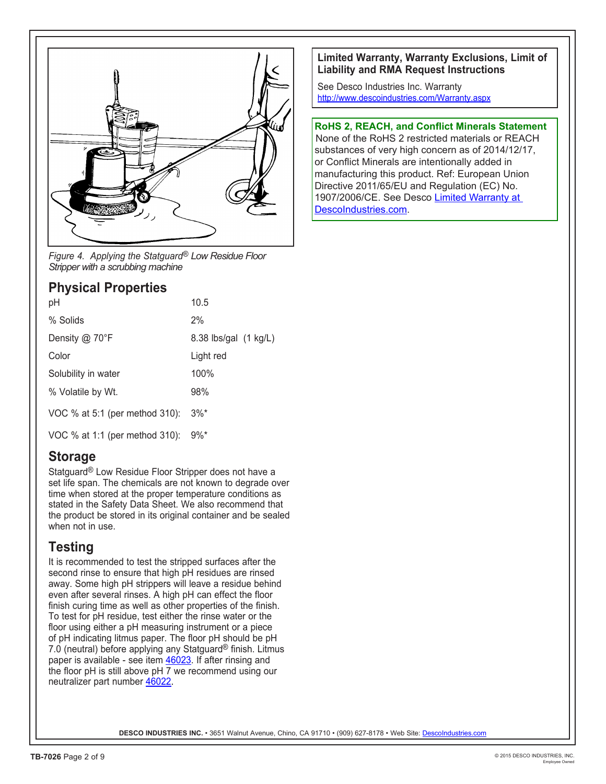

*Figure 4. Applying the Statguard® Low Residue Floor Stripper with a scrubbing machine*

#### **Physical Properties**

| 10.5                                   |
|----------------------------------------|
| 2%                                     |
| 8.38 lbs/gal (1 kg/L)                  |
| Light red                              |
| 100%                                   |
| 98%                                    |
| VOC % at 5:1 (per method 310): $3\%$ * |
|                                        |

VOC % at 1:1 (per method 310): 9%\*

### **Storage**

Statguard® Low Residue Floor Stripper does not have a set life span. The chemicals are not known to degrade over time when stored at the proper temperature conditions as stated in the Safety Data Sheet. We also recommend that the product be stored in its original container and be sealed when not in use.

### **Testing**

It is recommended to test the stripped surfaces after the second rinse to ensure that high pH residues are rinsed away. Some high pH strippers will leave a residue behind even after several rinses. A high pH can effect the floor finish curing time as well as other properties of the finish. To test for pH residue, test either the rinse water or the floor using either a pH measuring instrument or a piece of pH indicating litmus paper. The floor pH should be pH 7.0 (neutral) before applying any Statguard® finish. Litmus paper is available - see item 46023. If after rinsing and the floor pH is still above pH 7 we recommend using our neutralizer part number 46022.

#### **Limited Warranty, Warranty Exclusions, Limit of Liability and RMA Request Instructions**

See Desco Industries Inc. Warranty http://www.descoindustries.com/Warranty.aspx

#### **RoHS 2, REACH, and Conflict Minerals Statement**

None of the RoHS 2 restricted materials or REACH substances of very high concern as of 2014/12/17, or Conflict Minerals are intentionally added in manufacturing this product. Ref: European Union Directive 2011/65/EU and Regulation (EC) No. 1907/2006/CE. See Desco Limited Warranty at DescoIndustries.com.

DESCO INDUSTRIES INC. · 3651 Walnut Avenue, Chino, CA 91710 · (909) 627-8178 · Web Site: Descolndustries.com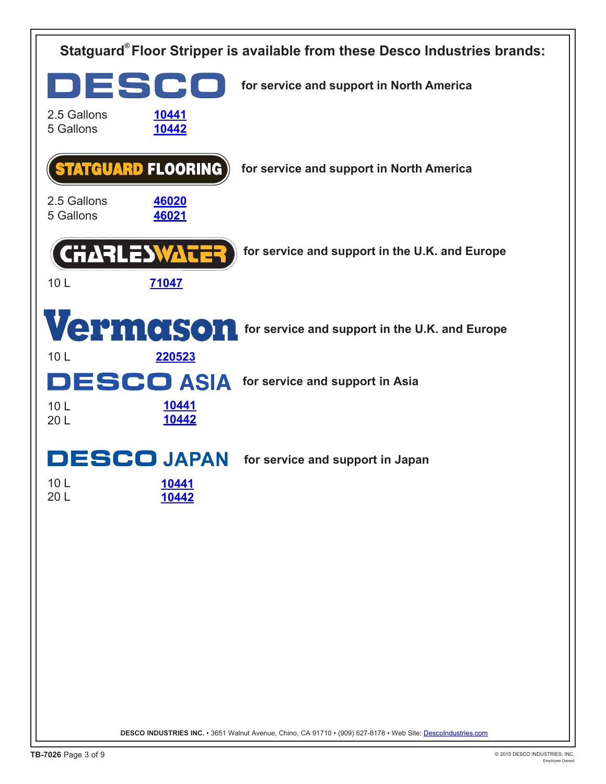| Statguard® Floor Stripper is available from these Desco Industries brands:                                   |                       |                                                          |  |
|--------------------------------------------------------------------------------------------------------------|-----------------------|----------------------------------------------------------|--|
| DESCO                                                                                                        |                       | for service and support in North America                 |  |
| 2.5 Gallons<br>5 Gallons                                                                                     | 10441<br>10442        |                                                          |  |
|                                                                                                              | Statguard Flooring)   | for service and support in North America                 |  |
| 2.5 Gallons<br>5 Gallons                                                                                     | 46020<br>46021        |                                                          |  |
|                                                                                                              | <b>CHARLESWATER</b>   | for service and support in the U.K. and Europe           |  |
| 10 <sub>L</sub>                                                                                              | 71047                 |                                                          |  |
|                                                                                                              |                       | Vermanson for service and support in the U.K. and Europe |  |
| 10 <sub>L</sub>                                                                                              | 220523                | <b>DESCO ASIA</b> for service and support in Asia        |  |
| 10 <sub>L</sub><br>20 L                                                                                      | <u>10441</u><br>10442 |                                                          |  |
|                                                                                                              | <b>ESCO JAPAN</b>     | for service and support in Japan                         |  |
| 10L<br>20 L                                                                                                  | <u>10441</u><br>10442 |                                                          |  |
|                                                                                                              |                       |                                                          |  |
|                                                                                                              |                       |                                                          |  |
|                                                                                                              |                       |                                                          |  |
|                                                                                                              |                       |                                                          |  |
|                                                                                                              |                       |                                                          |  |
| DESCO INDUSTRIES INC. • 3651 Walnut Avenue, Chino, CA 91710 • (909) 627-8178 • Web Site: Descolndustries.com |                       |                                                          |  |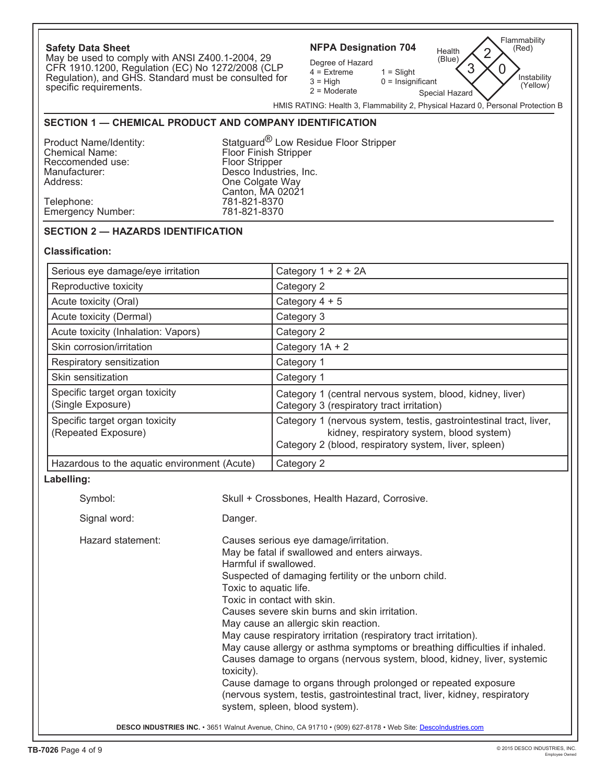| <b>Safety Data Sheet</b><br>May be used to comply with ANSI Z400.1-2004, 29<br>CFR 1910.1200, Regulation (EC) No 1272/2008 (CLP<br>Regulation), and GHS. Standard must be consulted for<br>specific requirements.<br>SECTION 1 - CHEMICAL PRODUCT AND COMPANY IDENTIFICATION<br>Product Name/Identity:<br><b>Chemical Name:</b><br>Reccomended use:<br>Manufacturer:<br>Address:<br>Telephone: | Floor Finish Stripper<br>Floor Stripper<br>Desco Industries, Inc.<br>One Colgate Way<br>Canton, MA 02021<br>781-821-8370 | Flammability<br><b>NFPA Designation 704</b><br>(Red)<br>Health<br>2<br>(Blue)<br>Degree of Hazard<br>3<br>$\Omega$<br>$4 =$ Extreme<br>$1 =$ Slight<br>Instability<br>$3 = High$<br>$0 =$ Insignificant<br>(Yellow)<br>$2 =$ Moderate<br>Special Hazard<br>HMIS RATING: Health 3, Flammability 2, Physical Hazard 0, Personal Protection B<br>Statquard <sup>®</sup> Low Residue Floor Stripper                                                                                                                                                                                                                                                                                       |  |  |
|------------------------------------------------------------------------------------------------------------------------------------------------------------------------------------------------------------------------------------------------------------------------------------------------------------------------------------------------------------------------------------------------|--------------------------------------------------------------------------------------------------------------------------|---------------------------------------------------------------------------------------------------------------------------------------------------------------------------------------------------------------------------------------------------------------------------------------------------------------------------------------------------------------------------------------------------------------------------------------------------------------------------------------------------------------------------------------------------------------------------------------------------------------------------------------------------------------------------------------|--|--|
| <b>Emergency Number:</b>                                                                                                                                                                                                                                                                                                                                                                       | 781-821-8370                                                                                                             |                                                                                                                                                                                                                                                                                                                                                                                                                                                                                                                                                                                                                                                                                       |  |  |
| <b>SECTION 2 - HAZARDS IDENTIFICATION</b>                                                                                                                                                                                                                                                                                                                                                      |                                                                                                                          |                                                                                                                                                                                                                                                                                                                                                                                                                                                                                                                                                                                                                                                                                       |  |  |
| <b>Classification:</b>                                                                                                                                                                                                                                                                                                                                                                         |                                                                                                                          |                                                                                                                                                                                                                                                                                                                                                                                                                                                                                                                                                                                                                                                                                       |  |  |
| Serious eye damage/eye irritation                                                                                                                                                                                                                                                                                                                                                              |                                                                                                                          | Category $1 + 2 + 2A$                                                                                                                                                                                                                                                                                                                                                                                                                                                                                                                                                                                                                                                                 |  |  |
| Reproductive toxicity                                                                                                                                                                                                                                                                                                                                                                          |                                                                                                                          | Category 2                                                                                                                                                                                                                                                                                                                                                                                                                                                                                                                                                                                                                                                                            |  |  |
| Acute toxicity (Oral)                                                                                                                                                                                                                                                                                                                                                                          |                                                                                                                          | Category $4 + 5$                                                                                                                                                                                                                                                                                                                                                                                                                                                                                                                                                                                                                                                                      |  |  |
| Acute toxicity (Dermal)                                                                                                                                                                                                                                                                                                                                                                        |                                                                                                                          | Category 3                                                                                                                                                                                                                                                                                                                                                                                                                                                                                                                                                                                                                                                                            |  |  |
| Acute toxicity (Inhalation: Vapors)                                                                                                                                                                                                                                                                                                                                                            |                                                                                                                          | Category 2                                                                                                                                                                                                                                                                                                                                                                                                                                                                                                                                                                                                                                                                            |  |  |
| Skin corrosion/irritation                                                                                                                                                                                                                                                                                                                                                                      |                                                                                                                          | Category $1A + 2$                                                                                                                                                                                                                                                                                                                                                                                                                                                                                                                                                                                                                                                                     |  |  |
| Respiratory sensitization                                                                                                                                                                                                                                                                                                                                                                      |                                                                                                                          | Category 1                                                                                                                                                                                                                                                                                                                                                                                                                                                                                                                                                                                                                                                                            |  |  |
| Skin sensitization                                                                                                                                                                                                                                                                                                                                                                             |                                                                                                                          | Category 1                                                                                                                                                                                                                                                                                                                                                                                                                                                                                                                                                                                                                                                                            |  |  |
| Specific target organ toxicity<br>(Single Exposure)                                                                                                                                                                                                                                                                                                                                            |                                                                                                                          | Category 1 (central nervous system, blood, kidney, liver)<br>Category 3 (respiratory tract irritation)                                                                                                                                                                                                                                                                                                                                                                                                                                                                                                                                                                                |  |  |
| Specific target organ toxicity<br>(Repeated Exposure)                                                                                                                                                                                                                                                                                                                                          |                                                                                                                          | Category 1 (nervous system, testis, gastrointestinal tract, liver,<br>kidney, respiratory system, blood system)<br>Category 2 (blood, respiratory system, liver, spleen)                                                                                                                                                                                                                                                                                                                                                                                                                                                                                                              |  |  |
| Hazardous to the aquatic environment (Acute)                                                                                                                                                                                                                                                                                                                                                   |                                                                                                                          | Category 2                                                                                                                                                                                                                                                                                                                                                                                                                                                                                                                                                                                                                                                                            |  |  |
| Labelling:                                                                                                                                                                                                                                                                                                                                                                                     |                                                                                                                          |                                                                                                                                                                                                                                                                                                                                                                                                                                                                                                                                                                                                                                                                                       |  |  |
| Symbol:                                                                                                                                                                                                                                                                                                                                                                                        |                                                                                                                          | Skull + Crossbones, Health Hazard, Corrosive.                                                                                                                                                                                                                                                                                                                                                                                                                                                                                                                                                                                                                                         |  |  |
| Signal word:                                                                                                                                                                                                                                                                                                                                                                                   | Danger.                                                                                                                  |                                                                                                                                                                                                                                                                                                                                                                                                                                                                                                                                                                                                                                                                                       |  |  |
| Hazard statement:                                                                                                                                                                                                                                                                                                                                                                              | Harmful if swallowed.<br>Toxic to aquatic life.<br>toxicity).                                                            | Causes serious eye damage/irritation.<br>May be fatal if swallowed and enters airways.<br>Suspected of damaging fertility or the unborn child.<br>Toxic in contact with skin.<br>Causes severe skin burns and skin irritation.<br>May cause an allergic skin reaction.<br>May cause respiratory irritation (respiratory tract irritation).<br>May cause allergy or asthma symptoms or breathing difficulties if inhaled.<br>Causes damage to organs (nervous system, blood, kidney, liver, systemic<br>Cause damage to organs through prolonged or repeated exposure<br>(nervous system, testis, gastrointestinal tract, liver, kidney, respiratory<br>system, spleen, blood system). |  |  |
| DESCO INDUSTRIES INC. • 3651 Walnut Avenue, Chino, CA 91710 • (909) 627-8178 • Web Site: Descolndustries.com                                                                                                                                                                                                                                                                                   |                                                                                                                          |                                                                                                                                                                                                                                                                                                                                                                                                                                                                                                                                                                                                                                                                                       |  |  |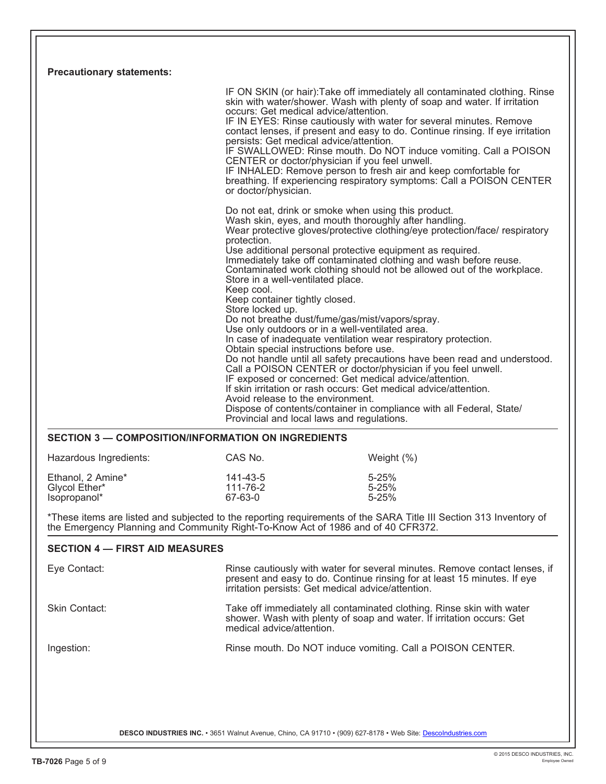| <b>Precautionary statements:</b>                                                 |                                                                                                                                                                                                                                                                                                                                                                                                                                                                                                                                                                                                 |                                                                                                                                                                                                                                                                                                                                                                                                                                                                                                                                                                                       |
|----------------------------------------------------------------------------------|-------------------------------------------------------------------------------------------------------------------------------------------------------------------------------------------------------------------------------------------------------------------------------------------------------------------------------------------------------------------------------------------------------------------------------------------------------------------------------------------------------------------------------------------------------------------------------------------------|---------------------------------------------------------------------------------------------------------------------------------------------------------------------------------------------------------------------------------------------------------------------------------------------------------------------------------------------------------------------------------------------------------------------------------------------------------------------------------------------------------------------------------------------------------------------------------------|
|                                                                                  | occurs: Get medical advice/attention.<br>persists: Get medical advice/attention.<br>CENTER or doctor/physician if you feel unwell.<br>or doctor/physician.                                                                                                                                                                                                                                                                                                                                                                                                                                      | IF ON SKIN (or hair): Take off immediately all contaminated clothing. Rinse<br>skin with water/shower. Wash with plenty of soap and water. If irritation<br>IF IN EYES: Rinse cautiously with water for several minutes. Remove<br>contact lenses, if present and easy to do. Continue rinsing. If eye irritation<br>IF SWALLOWED: Rinse mouth. Do NOT induce vomiting. Call a POISON<br>IF INHALED: Remove person to fresh air and keep comfortable for<br>breathing. If experiencing respiratory symptoms: Call a POISON CENTER                                                     |
|                                                                                  | Do not eat, drink or smoke when using this product.<br>Wash skin, eyes, and mouth thoroughly after handling.<br>protection.<br>Use additional personal protective equipment as required.<br>Store in a well-ventilated place.<br>Keep cool.<br>Keep container tightly closed.<br>Store locked up.<br>Do not breathe dust/fume/gas/mist/vapors/spray.<br>Use only outdoors or in a well-ventilated area.<br>Obtain special instructions before use.<br>IF exposed or concerned: Get medical advice/attention.<br>Avoid release to the environment.<br>Provincial and local laws and regulations. | Wear protective gloves/protective clothing/eye protection/face/ respiratory<br>Immediately take off contaminated clothing and wash before reuse.<br>Contaminated work clothing should not be allowed out of the workplace.<br>In case of inadequate ventilation wear respiratory protection.<br>Do not handle until all safety precautions have been read and understood.<br>Call a POISON CENTER or doctor/physician if you feel unwell.<br>If skin irritation or rash occurs: Get medical advice/attention.<br>Dispose of contents/container in compliance with all Federal, State/ |
| <b>SECTION 3 - COMPOSITION/INFORMATION ON INGREDIENTS</b>                        |                                                                                                                                                                                                                                                                                                                                                                                                                                                                                                                                                                                                 |                                                                                                                                                                                                                                                                                                                                                                                                                                                                                                                                                                                       |
| Hazardous Ingredients:                                                           | CAS No.                                                                                                                                                                                                                                                                                                                                                                                                                                                                                                                                                                                         | Weight $(\%)$                                                                                                                                                                                                                                                                                                                                                                                                                                                                                                                                                                         |
| Ethanol, 2 Amine*<br>Glycol Ether*<br>Isopropanol*                               | 141-43-5<br>111-76-2<br>67-63-0                                                                                                                                                                                                                                                                                                                                                                                                                                                                                                                                                                 | $5 - 25%$<br>$5 - 25%$<br>$5 - 25%$                                                                                                                                                                                                                                                                                                                                                                                                                                                                                                                                                   |
| the Emergency Planning and Community Right-To-Know Act of 1986 and of 40 CFR372. |                                                                                                                                                                                                                                                                                                                                                                                                                                                                                                                                                                                                 | *These items are listed and subjected to the reporting requirements of the SARA Title III Section 313 Inventory of                                                                                                                                                                                                                                                                                                                                                                                                                                                                    |
| <b>SECTION 4 - FIRST AID MEASURES</b>                                            |                                                                                                                                                                                                                                                                                                                                                                                                                                                                                                                                                                                                 |                                                                                                                                                                                                                                                                                                                                                                                                                                                                                                                                                                                       |
| Eye Contact:                                                                     | irritation persists: Get medical advice/attention.                                                                                                                                                                                                                                                                                                                                                                                                                                                                                                                                              | Rinse cautiously with water for several minutes. Remove contact lenses, if<br>present and easy to do. Continue rinsing for at least 15 minutes. If eye                                                                                                                                                                                                                                                                                                                                                                                                                                |
| Skin Contact:                                                                    | medical advice/attention.                                                                                                                                                                                                                                                                                                                                                                                                                                                                                                                                                                       | Take off immediately all contaminated clothing. Rinse skin with water<br>shower. Wash with plenty of soap and water. If irritation occurs: Get                                                                                                                                                                                                                                                                                                                                                                                                                                        |
| Ingestion:                                                                       |                                                                                                                                                                                                                                                                                                                                                                                                                                                                                                                                                                                                 | Rinse mouth. Do NOT induce vomiting. Call a POISON CENTER.                                                                                                                                                                                                                                                                                                                                                                                                                                                                                                                            |
|                                                                                  |                                                                                                                                                                                                                                                                                                                                                                                                                                                                                                                                                                                                 |                                                                                                                                                                                                                                                                                                                                                                                                                                                                                                                                                                                       |
|                                                                                  | DESCO INDUSTRIES INC. · 3651 Walnut Avenue, Chino, CA 91710 · (909) 627-8178 · Web Site: Descolndustries.com                                                                                                                                                                                                                                                                                                                                                                                                                                                                                    |                                                                                                                                                                                                                                                                                                                                                                                                                                                                                                                                                                                       |

Γ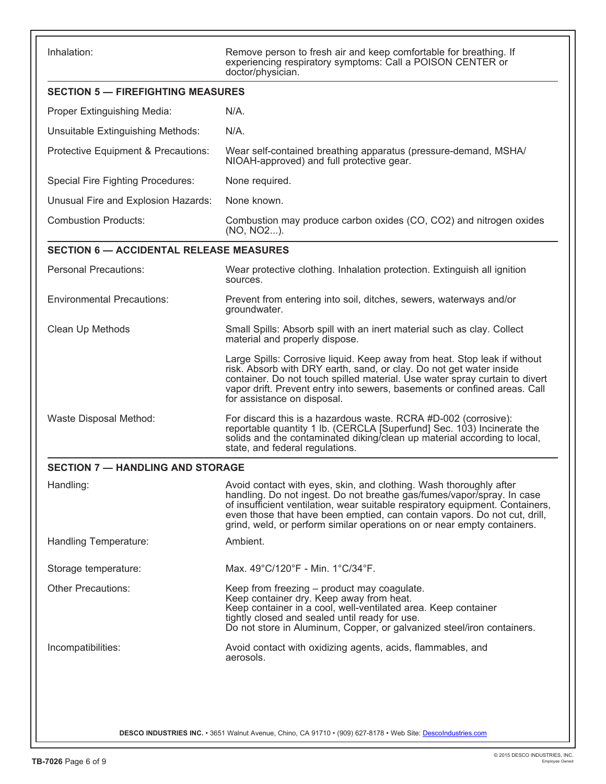Inhalation: **Remove person to fresh air and keep comfortable for breathing.** If experiencing respiratory symptoms: Call a POISON CENTER or doctor/physician.

| <b>SECTION 5 - FIREFIGHTING MEASURES</b>       |                                                                                                                                                                                                                                                                                                                                                                                       |  |  |
|------------------------------------------------|---------------------------------------------------------------------------------------------------------------------------------------------------------------------------------------------------------------------------------------------------------------------------------------------------------------------------------------------------------------------------------------|--|--|
| Proper Extinguishing Media:                    | N/A.                                                                                                                                                                                                                                                                                                                                                                                  |  |  |
| Unsuitable Extinguishing Methods:              | N/A.                                                                                                                                                                                                                                                                                                                                                                                  |  |  |
| Protective Equipment & Precautions:            | Wear self-contained breathing apparatus (pressure-demand, MSHA/<br>NIOAH-approved) and full protective gear.                                                                                                                                                                                                                                                                          |  |  |
| <b>Special Fire Fighting Procedures:</b>       | None required.                                                                                                                                                                                                                                                                                                                                                                        |  |  |
| Unusual Fire and Explosion Hazards:            | None known.                                                                                                                                                                                                                                                                                                                                                                           |  |  |
| <b>Combustion Products:</b>                    | Combustion may produce carbon oxides (CO, CO2) and nitrogen oxides<br>(NO, NO2).                                                                                                                                                                                                                                                                                                      |  |  |
| <b>SECTION 6 - ACCIDENTAL RELEASE MEASURES</b> |                                                                                                                                                                                                                                                                                                                                                                                       |  |  |
| <b>Personal Precautions:</b>                   | Wear protective clothing. Inhalation protection. Extinguish all ignition<br>sources.                                                                                                                                                                                                                                                                                                  |  |  |
| <b>Environmental Precautions:</b>              | Prevent from entering into soil, ditches, sewers, waterways and/or<br>groundwater.                                                                                                                                                                                                                                                                                                    |  |  |
| Clean Up Methods                               | Small Spills: Absorb spill with an inert material such as clay. Collect<br>material and properly dispose.                                                                                                                                                                                                                                                                             |  |  |
|                                                | Large Spills: Corrosive liquid. Keep away from heat. Stop leak if without<br>risk. Absorb with DRY earth, sand, or clay. Do not get water inside<br>container. Do not touch spilled material. Use water spray curtain to divert<br>vapor drift. Prevent entry into sewers, basements or confined areas. Call<br>for assistance on disposal.                                           |  |  |
| Waste Disposal Method:                         | For discard this is a hazardous waste. RCRA #D-002 (corrosive):<br>reportable quantity 1 lb. (CERCLA [Superfund] Sec. 103) Incinerate the<br>solids and the contaminated diking/clean up material according to local,<br>state, and federal regulations.                                                                                                                              |  |  |
| <b>SECTION 7 - HANDLING AND STORAGE</b>        |                                                                                                                                                                                                                                                                                                                                                                                       |  |  |
| Handling:                                      | Avoid contact with eyes, skin, and clothing. Wash thoroughly after<br>handling. Do not ingest. Do not breathe gas/fumes/vapor/spray. In case<br>of insufficient ventilation, wear suitable respiratory equipment. Containers,<br>even those that have been emptied, can contain vapors. Do not cut, drill,<br>grind, weld, or perform similar operations on or near empty containers. |  |  |
| Handling Temperature:                          | Ambient.                                                                                                                                                                                                                                                                                                                                                                              |  |  |
| Storage temperature:                           | Max. 49°C/120°F - Min. 1°C/34°F.                                                                                                                                                                                                                                                                                                                                                      |  |  |
| <b>Other Precautions:</b>                      | Keep from freezing - product may coagulate.<br>Keep container dry. Keep away from heat.<br>Keep container in a cool, well-ventilated area. Keep container<br>tightly closed and sealed until ready for use.<br>Do not store in Aluminum, Copper, or galvanized steel/iron containers.                                                                                                 |  |  |
| Incompatibilities:                             | Avoid contact with oxidizing agents, acids, flammables, and<br>aerosols.                                                                                                                                                                                                                                                                                                              |  |  |
|                                                | DESCO INDUSTRIES INC. • 3651 Walnut Avenue, Chino, CA 91710 • (909) 627-8178 • Web Site: Descolndustries.com                                                                                                                                                                                                                                                                          |  |  |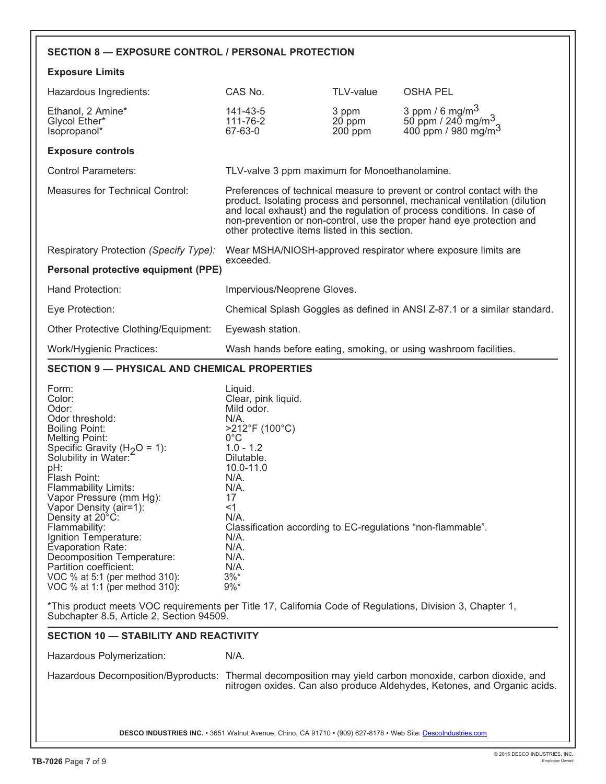| <b>SECTION 8 - EXPOSURE CONTROL / PERSONAL PROTECTION</b>                                                                                                                                                                                                                                                                                                                                                                                                                                                                                                                                                                                      |                                                                                                                                                                                                                                                                                                |                                |                                                                                                                                                                                                                                                                                                           |
|------------------------------------------------------------------------------------------------------------------------------------------------------------------------------------------------------------------------------------------------------------------------------------------------------------------------------------------------------------------------------------------------------------------------------------------------------------------------------------------------------------------------------------------------------------------------------------------------------------------------------------------------|------------------------------------------------------------------------------------------------------------------------------------------------------------------------------------------------------------------------------------------------------------------------------------------------|--------------------------------|-----------------------------------------------------------------------------------------------------------------------------------------------------------------------------------------------------------------------------------------------------------------------------------------------------------|
| <b>Exposure Limits</b>                                                                                                                                                                                                                                                                                                                                                                                                                                                                                                                                                                                                                         |                                                                                                                                                                                                                                                                                                |                                |                                                                                                                                                                                                                                                                                                           |
| Hazardous Ingredients:                                                                                                                                                                                                                                                                                                                                                                                                                                                                                                                                                                                                                         | CAS No.                                                                                                                                                                                                                                                                                        | TLV-value                      | <b>OSHA PEL</b>                                                                                                                                                                                                                                                                                           |
| Ethanol, 2 Amine*<br>Glycol Ether*<br>Isopropanol*                                                                                                                                                                                                                                                                                                                                                                                                                                                                                                                                                                                             | 141-43-5<br>111-76-2<br>67-63-0                                                                                                                                                                                                                                                                | 3 ppm<br>$20$ ppm<br>$200$ ppm | 3 ppm / 6 mg/m $3$<br>50 ppm / 240 mg/m <sup>3</sup><br>400 ppm / 980 mg/m <sup>3</sup>                                                                                                                                                                                                                   |
| <b>Exposure controls</b>                                                                                                                                                                                                                                                                                                                                                                                                                                                                                                                                                                                                                       |                                                                                                                                                                                                                                                                                                |                                |                                                                                                                                                                                                                                                                                                           |
| <b>Control Parameters:</b>                                                                                                                                                                                                                                                                                                                                                                                                                                                                                                                                                                                                                     | TLV-valve 3 ppm maximum for Monoethanolamine.                                                                                                                                                                                                                                                  |                                |                                                                                                                                                                                                                                                                                                           |
| Measures for Technical Control:                                                                                                                                                                                                                                                                                                                                                                                                                                                                                                                                                                                                                | other protective items listed in this section.                                                                                                                                                                                                                                                 |                                | Preferences of technical measure to prevent or control contact with the<br>product. Isolating process and personnel, mechanical ventilation (dilution<br>and local exhaust) and the regulation of process conditions. In case of<br>non-prevention or non-control, use the proper hand eye protection and |
| Respiratory Protection (Specify Type):                                                                                                                                                                                                                                                                                                                                                                                                                                                                                                                                                                                                         |                                                                                                                                                                                                                                                                                                |                                | Wear MSHA/NIOSH-approved respirator where exposure limits are                                                                                                                                                                                                                                             |
| Personal protective equipment (PPE)                                                                                                                                                                                                                                                                                                                                                                                                                                                                                                                                                                                                            | exceeded.                                                                                                                                                                                                                                                                                      |                                |                                                                                                                                                                                                                                                                                                           |
| Hand Protection:                                                                                                                                                                                                                                                                                                                                                                                                                                                                                                                                                                                                                               | Impervious/Neoprene Gloves.                                                                                                                                                                                                                                                                    |                                |                                                                                                                                                                                                                                                                                                           |
| Eye Protection:                                                                                                                                                                                                                                                                                                                                                                                                                                                                                                                                                                                                                                |                                                                                                                                                                                                                                                                                                |                                | Chemical Splash Goggles as defined in ANSI Z-87.1 or a similar standard.                                                                                                                                                                                                                                  |
| Other Protective Clothing/Equipment:                                                                                                                                                                                                                                                                                                                                                                                                                                                                                                                                                                                                           | Eyewash station.                                                                                                                                                                                                                                                                               |                                |                                                                                                                                                                                                                                                                                                           |
| Work/Hygienic Practices:                                                                                                                                                                                                                                                                                                                                                                                                                                                                                                                                                                                                                       |                                                                                                                                                                                                                                                                                                |                                | Wash hands before eating, smoking, or using washroom facilities.                                                                                                                                                                                                                                          |
| <b>SECTION 9 - PHYSICAL AND CHEMICAL PROPERTIES</b>                                                                                                                                                                                                                                                                                                                                                                                                                                                                                                                                                                                            |                                                                                                                                                                                                                                                                                                |                                |                                                                                                                                                                                                                                                                                                           |
| Form:<br>Color:<br>Odor:<br>Odor threshold:<br><b>Boiling Point:</b><br><b>Melting Point:</b><br>Specific Gravity (H <sub>2</sub> O = 1):<br>Solubility in Water:<br>pH:<br>Flash Point:<br>Flammability Limits:<br>Vapor Pressure (mm Hg):<br>Vapor Density (air=1):<br>Density at 20°C:<br>Flammability:<br>Ignition Temperature:<br>Evaporation Rate:<br>Decomposition Temperature:<br>Partition coefficient:<br>VOC % at 5:1 (per method 310):<br>VOC % at 1:1 (per method 310):<br>*This product meets VOC requirements per Title 17, California Code of Regulations, Division 3, Chapter 1,<br>Subchapter 8.5, Article 2, Section 94509. | Liquid.<br>Clear, pink liquid.<br>Mild odor.<br>$N/A$ .<br>>212°F (100°C)<br>$0^{\circ}$ C<br>$1.0 - 1.2$<br>Dilutable.<br>10.0-11.0<br>N/A.<br>N/A.<br>17<br>$<$ 1<br>N/A.<br>Classification according to EC-regulations "non-flammable".<br>N/A.<br>N/A.<br>N/A.<br>$N/A$ .<br>3%<br>$9\%$ * |                                |                                                                                                                                                                                                                                                                                                           |
| <b>SECTION 10 - STABILITY AND REACTIVITY</b>                                                                                                                                                                                                                                                                                                                                                                                                                                                                                                                                                                                                   |                                                                                                                                                                                                                                                                                                |                                |                                                                                                                                                                                                                                                                                                           |
| Hazardous Polymerization:                                                                                                                                                                                                                                                                                                                                                                                                                                                                                                                                                                                                                      | N/A.                                                                                                                                                                                                                                                                                           |                                |                                                                                                                                                                                                                                                                                                           |
| Hazardous Decomposition/Byproducts: Thermal decomposition may yield carbon monoxide, carbon dioxide, and                                                                                                                                                                                                                                                                                                                                                                                                                                                                                                                                       |                                                                                                                                                                                                                                                                                                |                                | nitrogen oxides. Can also produce Aldehydes, Ketones, and Organic acids.                                                                                                                                                                                                                                  |
| DESCO INDUSTRIES INC. • 3651 Walnut Avenue, Chino, CA 91710 • (909) 627-8178 • Web Site: Descolndustries.com                                                                                                                                                                                                                                                                                                                                                                                                                                                                                                                                   |                                                                                                                                                                                                                                                                                                |                                |                                                                                                                                                                                                                                                                                                           |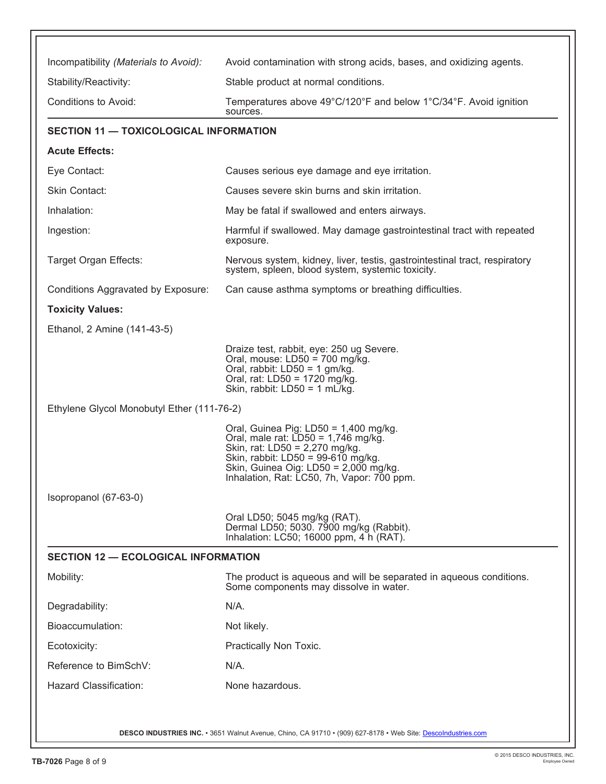| Incompatibility (Materials to Avoid):         | Avoid contamination with strong acids, bases, and oxidizing agents.                                                                                                                                                                           |
|-----------------------------------------------|-----------------------------------------------------------------------------------------------------------------------------------------------------------------------------------------------------------------------------------------------|
| Stability/Reactivity:                         | Stable product at normal conditions.                                                                                                                                                                                                          |
| Conditions to Avoid:                          | Temperatures above 49°C/120°F and below 1°C/34°F. Avoid ignition<br>sources.                                                                                                                                                                  |
| <b>SECTION 11 - TOXICOLOGICAL INFORMATION</b> |                                                                                                                                                                                                                                               |
| <b>Acute Effects:</b>                         |                                                                                                                                                                                                                                               |
| Eye Contact:                                  | Causes serious eye damage and eye irritation.                                                                                                                                                                                                 |
| Skin Contact:                                 | Causes severe skin burns and skin irritation.                                                                                                                                                                                                 |
| Inhalation:                                   | May be fatal if swallowed and enters airways.                                                                                                                                                                                                 |
| Ingestion:                                    | Harmful if swallowed. May damage gastrointestinal tract with repeated<br>exposure.                                                                                                                                                            |
| Target Organ Effects:                         | Nervous system, kidney, liver, testis, gastrointestinal tract, respiratory<br>system, spleen, blood system, systemic toxicity.                                                                                                                |
| Conditions Aggravated by Exposure:            | Can cause asthma symptoms or breathing difficulties.                                                                                                                                                                                          |
| <b>Toxicity Values:</b>                       |                                                                                                                                                                                                                                               |
| Ethanol, 2 Amine (141-43-5)                   |                                                                                                                                                                                                                                               |
|                                               | Draize test, rabbit, eye: 250 ug Severe.<br>Oral, mouse: $LD50 = 700$ mg/kg.<br>Oral, rabbit: LD50 = 1 gm/kg.<br>Oral, rat: LD50 = 1720 mg/kg.<br>Skin, rabbit: $LD50 = 1$ mL/kg.                                                             |
| Ethylene Glycol Monobutyl Ether (111-76-2)    |                                                                                                                                                                                                                                               |
|                                               | Oral, Guinea Pig: LD50 = 1,400 mg/kg.<br>Oral, male rat: $LD50 = 1,746$ mg/kg.<br>Skin, rat: LD50 = 2,270 mg/kg.<br>Skin, rabbit: LD50 = 99-610 mg/kg.<br>Skin, Guinea Oig: LD50 = 2,000 mg/kg.<br>Inhalation, Rat: LC50, 7h, Vapor: 700 ppm. |
| Isopropanol (67-63-0)                         |                                                                                                                                                                                                                                               |
|                                               | Oral LD50; 5045 mg/kg (RAT).<br>Dermal LD50; 5030. 7900 mg/kg (Rabbit).<br>Inhalation: LC50; 16000 ppm, 4 h (RAT).                                                                                                                            |
| <b>SECTION 12 - ECOLOGICAL INFORMATION</b>    |                                                                                                                                                                                                                                               |
| Mobility:                                     | The product is aqueous and will be separated in aqueous conditions.<br>Some components may dissolve in water.                                                                                                                                 |
| Degradability:                                | $N/A$ .                                                                                                                                                                                                                                       |
| Bioaccumulation:                              | Not likely.                                                                                                                                                                                                                                   |
| Ecotoxicity:                                  | Practically Non Toxic.                                                                                                                                                                                                                        |
| Reference to BimSchV:                         | $N/A$ .                                                                                                                                                                                                                                       |
| Hazard Classification:                        | None hazardous.                                                                                                                                                                                                                               |